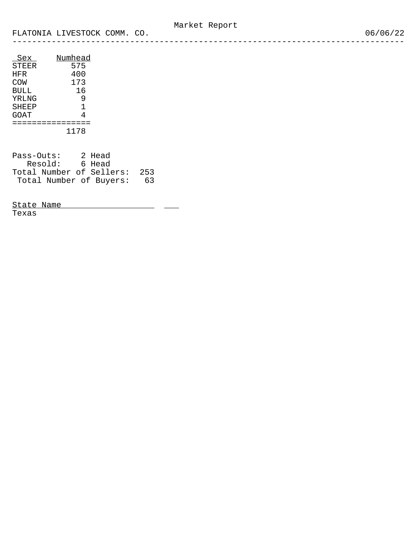| Numhead |
|---------|
| 575     |
| 400     |
| 173     |
| 16      |
| 9       |
| 1       |
| 4       |
|         |
| 1178    |
|         |

| Pass-Outs:               | 2 Head |     |
|--------------------------|--------|-----|
| Resold:                  | 6 Head |     |
| Total Number of Sellers: |        | 253 |
| Total Number of Buyers:  |        | 63  |

State Name \_\_\_\_\_\_\_\_\_\_\_\_\_\_\_\_\_\_\_\_\_\_ \_\_\_\_ Texas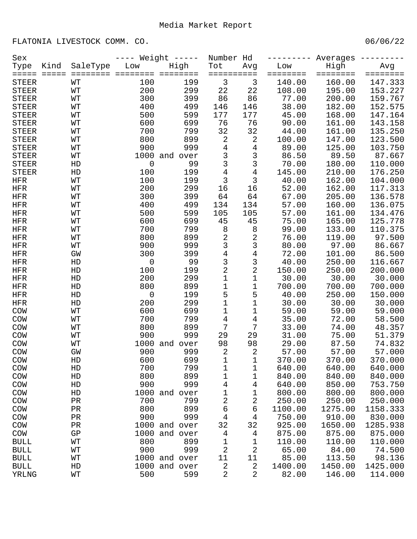FLATONIA LIVESTOCK COMM. CO.

| Sex                   |                 |                | Weight $---$        | Number Hd       |                              |                  | Averages           |                    |                     |
|-----------------------|-----------------|----------------|---------------------|-----------------|------------------------------|------------------|--------------------|--------------------|---------------------|
| Type                  | Kind            | SaleType       | Low                 | High            | Tot                          | Avg              | Low                | High               | Avg                 |
| =====<br><b>STEER</b> | $=$ $=$ $=$ $=$ | ========<br>WT | 100                 | ========<br>199 | ==========<br>$\mathfrak{Z}$ | 3                | ========<br>140.00 | ========<br>160.00 | ========<br>147.333 |
| <b>STEER</b>          |                 | WТ             | 200                 | 299             | 22                           | 22               | 108.00             | 195.00             | 153.227             |
| <b>STEER</b>          |                 | WТ             | 300                 | 399             | 86                           | 86               | 77.00              | 200.00             | 159.767             |
| <b>STEER</b>          |                 | WТ             | 400                 | 499             | 146                          | 146              | 38.00              | 182.00             | 152.575             |
| <b>STEER</b>          |                 | WΤ             | 500                 | 599             | 177                          | 177              | 45.00              | 168.00             | 147.164             |
| <b>STEER</b>          |                 | WΤ             | 600                 | 699             | 76                           | 76               | 90.00              | 161.00             | 143.158             |
| <b>STEER</b>          |                 | WТ             | 700                 | 799             | 32                           | 32               | 44.00              | 161.00             | 135.250             |
| <b>STEER</b>          |                 | WТ             | 800                 | 899             | $\mathbf{2}$                 | $\sqrt{2}$       | 100.00             | 147.00             | 123.500             |
| <b>STEER</b>          |                 | WТ             | 900                 | 999             | $\overline{4}$               | 4                | 89.00              | 125.00             | 103.750             |
| <b>STEER</b>          |                 | WТ             |                     | 1000 and over   | $\mathsf{3}$                 | $\mathsf 3$      | 86.50              | 89.50              | 87.667              |
| <b>STEER</b>          |                 | HD             | $\mathbf 0$         | 99              | 3                            | 3                | 70.00              | 180.00             | 110.000             |
| <b>STEER</b>          |                 | HD             | 100                 | 199             | $\overline{4}$               | $\overline{4}$   | 145.00             | 210.00             | 176.250             |
| HFR                   |                 | WТ             | 100                 | 199             | 3                            | 3                | 40.00              | 162.00             | 104.000             |
| <b>HFR</b>            |                 | WТ             | 200                 | 299             | 16                           | 16               | 52.00              | 162.00             | 117.313             |
| <b>HFR</b>            |                 | WТ             | 300                 | 399             | 64                           | 64               | 67.00              | 205.00             | 136.578             |
| <b>HFR</b>            |                 | WТ             | 400                 | 499             | 134                          | 134              | 57.00              | 160.00             | 136.075             |
| <b>HFR</b>            |                 | WТ             | 500                 | 599             | 105                          | 105              | 57.00              | 161.00             | 134.476             |
| <b>HFR</b>            |                 | WТ             | 600                 | 699             | 45                           | 45               | 75.00              | 165.00             | 125.778             |
| <b>HFR</b>            |                 | WΤ             | 700                 | 799             | 8                            | 8                | 99.00              | 133.00             | 110.375             |
| <b>HFR</b>            |                 | WТ             | 800                 | 899             | $\sqrt{2}$                   | 2                | 76.00              | 119.00             | 97.500              |
| <b>HFR</b>            |                 | WТ             | 900                 | 999             | 3                            | 3                | 80.00              | 97.00              | 86.667              |
| <b>HFR</b>            |                 | GW             | 300                 | 399             | 4                            | 4                | 72.00              | 101.00             | 86.500              |
| <b>HFR</b>            |                 | HD             | $\mathsf{O}\xspace$ | 99              | 3                            | 3                | 40.00              | 250.00             | 116.667             |
| <b>HFR</b>            |                 | HD             | 100                 | 199             | $\overline{c}$               | 2                | 150.00             | 250.00             | 200.000             |
| <b>HFR</b>            |                 | HD             | 200                 | 299             | 1                            | 1                | 30.00              | 30.00              | 30.000              |
| <b>HFR</b>            |                 | HD             | 800                 | 899             | 1                            | 1                | 700.00             | 700.00             | 700.000             |
| <b>HFR</b>            |                 | HD             | $\mathsf{O}\xspace$ | 199             | 5                            | 5                | 40.00              | 250.00             | 150.000             |
| <b>HFR</b>            |                 | HD             | 200                 | 299             | $\mathbf 1$                  | 1                | 30.00              | 30.00              | 30.000              |
| COW                   |                 | WТ             | 600                 | 699             | 1                            | 1                | 59.00              | 59.00              | 59.000              |
| COW                   |                 | WТ             | 700                 | 799             | 4                            | 4                | 35.00              | 72.00              | 58.500              |
| COW                   |                 | WТ             | 800                 | 899             | 7                            | 7                | 33.00              | 74.00              | 48.357              |
| COW                   |                 | WΤ             | 900                 | 999             | 29                           | 29               | 31.00              | 75.00              | 51.379              |
| COW                   |                 | WΤ             |                     | 1000 and over   | 98                           | 98               | 29.00              | 87.50              | 74.832              |
| COW                   |                 | GW             | 900                 | 999             | $\sqrt{2}$                   | 2                | 57.00              | 57.00              | 57.000              |
| COW                   |                 | ${\rm HD}$     | 600                 | 699             | $\mathbf 1$                  | 1                | 370.00             | 370.00             | 370.000             |
| COM                   |                 | ${\rm HD}$     | 700                 | 799             | 1                            | 1                | 640.00             | 640.00             | 640.000             |
| CON                   |                 | ${\rm HD}$     | 800                 | 899             | 1                            | 1                | 840.00             | 840.00             | 840.000             |
| COM                   |                 | ${\rm HD}$     | 900                 | 999             | 4                            | 4                | 640.00             | 850.00             | 753.750             |
| COM                   |                 | HD             |                     | 1000 and over   | 1                            | 1                | 800.00             | 800.00             | 800.000             |
| COM                   |                 | $\rm PR$       | 700                 | 799             | 2                            | $\sqrt{2}$       | 250.00             | 250.00             | 250.000             |
| COM                   |                 | $\rm PR$       | 800                 | 899             | 6                            | 6                | 1100.00            | 1275.00            | 1158.333            |
| COM                   |                 | $\rm PR$       | 900                 | 999             | 4                            | $\overline{4}$   | 750.00             | 910.00             | 830.000             |
| COM                   |                 | $\rm PR$       |                     | 1000 and over   | 32                           | 32               | 925.00             | 1650.00            | 1285.938            |
|                       |                 | ${\rm GP}$     |                     | 1000 and over   | 4                            |                  | 875.00             | 875.00             | 875.000             |
| COM<br><b>BULL</b>    |                 | WТ             | 800                 | 899             | 1                            | 4<br>$\mathbf 1$ | 110.00             | 110.00             | 110.000             |
| <b>BULL</b>           |                 | WΤ             | 900                 | 999             | 2                            | 2                | 65.00              | 84.00              | 74.500              |
| <b>BULL</b>           |                 | WΤ             |                     | 1000 and over   | 11                           | $11$             | 85.00              | 113.50             | 98.136              |
| <b>BULL</b>           |                 | ${\rm HD}$     |                     | 1000 and over   | 2                            | 2                | 1400.00            | 1450.00            | 1425.000            |
| YRLNG                 |                 | WТ             | 500                 | 599             | 2                            | 2                | 82.00              | 146.00             | 114.000             |
|                       |                 |                |                     |                 |                              |                  |                    |                    |                     |